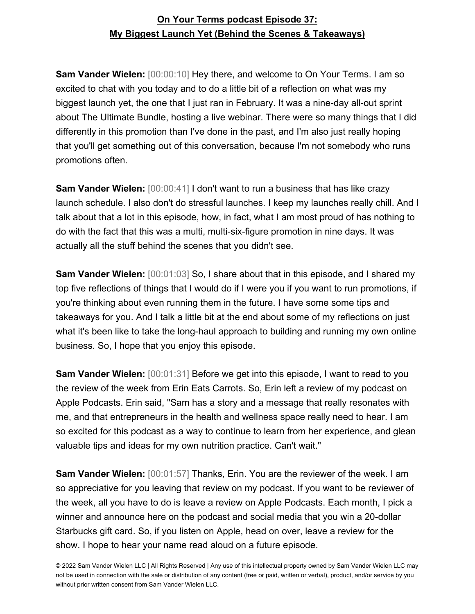**Sam Vander Wielen:** [00:00:10] Hey there, and welcome to On Your Terms. I am so excited to chat with you today and to do a little bit of a reflection on what was my biggest launch yet, the one that I just ran in February. It was a nine-day all-out sprint about The Ultimate Bundle, hosting a live webinar. There were so many things that I did differently in this promotion than I've done in the past, and I'm also just really hoping that you'll get something out of this conversation, because I'm not somebody who runs promotions often.

**Sam Vander Wielen:** [00:00:41] I don't want to run a business that has like crazy launch schedule. I also don't do stressful launches. I keep my launches really chill. And I talk about that a lot in this episode, how, in fact, what I am most proud of has nothing to do with the fact that this was a multi, multi-six-figure promotion in nine days. It was actually all the stuff behind the scenes that you didn't see.

**Sam Vander Wielen:** [00:01:03] So, I share about that in this episode, and I shared my top five reflections of things that I would do if I were you if you want to run promotions, if you're thinking about even running them in the future. I have some some tips and takeaways for you. And I talk a little bit at the end about some of my reflections on just what it's been like to take the long-haul approach to building and running my own online business. So, I hope that you enjoy this episode.

**Sam Vander Wielen:**  $[00:01:31]$  Before we get into this episode, I want to read to you the review of the week from Erin Eats Carrots. So, Erin left a review of my podcast on Apple Podcasts. Erin said, "Sam has a story and a message that really resonates with me, and that entrepreneurs in the health and wellness space really need to hear. I am so excited for this podcast as a way to continue to learn from her experience, and glean valuable tips and ideas for my own nutrition practice. Can't wait."

**Sam Vander Wielen:** [00:01:57] Thanks, Erin. You are the reviewer of the week. I am so appreciative for you leaving that review on my podcast. If you want to be reviewer of the week, all you have to do is leave a review on Apple Podcasts. Each month, I pick a winner and announce here on the podcast and social media that you win a 20-dollar Starbucks gift card. So, if you listen on Apple, head on over, leave a review for the show. I hope to hear your name read aloud on a future episode.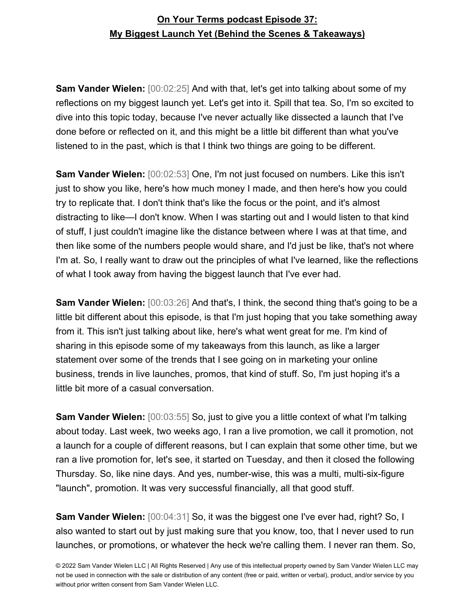**Sam Vander Wielen:** [00:02:25] And with that, let's get into talking about some of my reflections on my biggest launch yet. Let's get into it. Spill that tea. So, I'm so excited to dive into this topic today, because I've never actually like dissected a launch that I've done before or reflected on it, and this might be a little bit different than what you've listened to in the past, which is that I think two things are going to be different.

**Sam Vander Wielen:** [00:02:53] One, I'm not just focused on numbers. Like this isn't just to show you like, here's how much money I made, and then here's how you could try to replicate that. I don't think that's like the focus or the point, and it's almost distracting to like—I don't know. When I was starting out and I would listen to that kind of stuff, I just couldn't imagine like the distance between where I was at that time, and then like some of the numbers people would share, and I'd just be like, that's not where I'm at. So, I really want to draw out the principles of what I've learned, like the reflections of what I took away from having the biggest launch that I've ever had.

**Sam Vander Wielen:** [00:03:26] And that's, I think, the second thing that's going to be a little bit different about this episode, is that I'm just hoping that you take something away from it. This isn't just talking about like, here's what went great for me. I'm kind of sharing in this episode some of my takeaways from this launch, as like a larger statement over some of the trends that I see going on in marketing your online business, trends in live launches, promos, that kind of stuff. So, I'm just hoping it's a little bit more of a casual conversation.

**Sam Vander Wielen:** [00:03:55] So, just to give you a little context of what I'm talking about today. Last week, two weeks ago, I ran a live promotion, we call it promotion, not a launch for a couple of different reasons, but I can explain that some other time, but we ran a live promotion for, let's see, it started on Tuesday, and then it closed the following Thursday. So, like nine days. And yes, number-wise, this was a multi, multi-six-figure "launch", promotion. It was very successful financially, all that good stuff.

**Sam Vander Wielen:** [00:04:31] So, it was the biggest one I've ever had, right? So, I also wanted to start out by just making sure that you know, too, that I never used to run launches, or promotions, or whatever the heck we're calling them. I never ran them. So,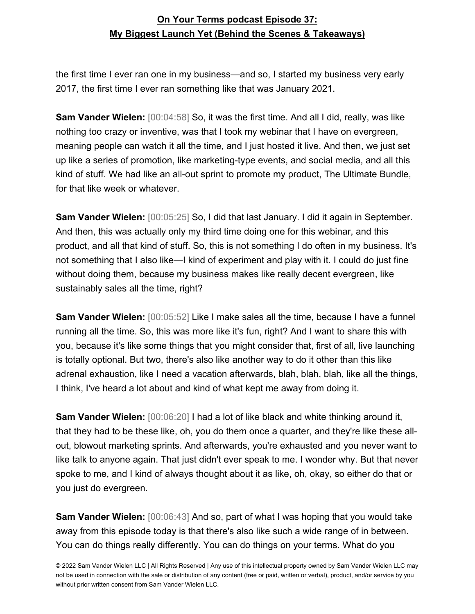the first time I ever ran one in my business—and so, I started my business very early 2017, the first time I ever ran something like that was January 2021.

**Sam Vander Wielen:** [00:04:58] So, it was the first time. And all I did, really, was like nothing too crazy or inventive, was that I took my webinar that I have on evergreen, meaning people can watch it all the time, and I just hosted it live. And then, we just set up like a series of promotion, like marketing-type events, and social media, and all this kind of stuff. We had like an all-out sprint to promote my product, The Ultimate Bundle, for that like week or whatever.

**Sam Vander Wielen:** [00:05:25] So, I did that last January. I did it again in September. And then, this was actually only my third time doing one for this webinar, and this product, and all that kind of stuff. So, this is not something I do often in my business. It's not something that I also like—I kind of experiment and play with it. I could do just fine without doing them, because my business makes like really decent evergreen, like sustainably sales all the time, right?

**Sam Vander Wielen:** [00:05:52] Like I make sales all the time, because I have a funnel running all the time. So, this was more like it's fun, right? And I want to share this with you, because it's like some things that you might consider that, first of all, live launching is totally optional. But two, there's also like another way to do it other than this like adrenal exhaustion, like I need a vacation afterwards, blah, blah, blah, like all the things, I think, I've heard a lot about and kind of what kept me away from doing it.

**Sam Vander Wielen:** [00:06:20] I had a lot of like black and white thinking around it, that they had to be these like, oh, you do them once a quarter, and they're like these allout, blowout marketing sprints. And afterwards, you're exhausted and you never want to like talk to anyone again. That just didn't ever speak to me. I wonder why. But that never spoke to me, and I kind of always thought about it as like, oh, okay, so either do that or you just do evergreen.

**Sam Vander Wielen:** [00:06:43] And so, part of what I was hoping that you would take away from this episode today is that there's also like such a wide range of in between. You can do things really differently. You can do things on your terms. What do you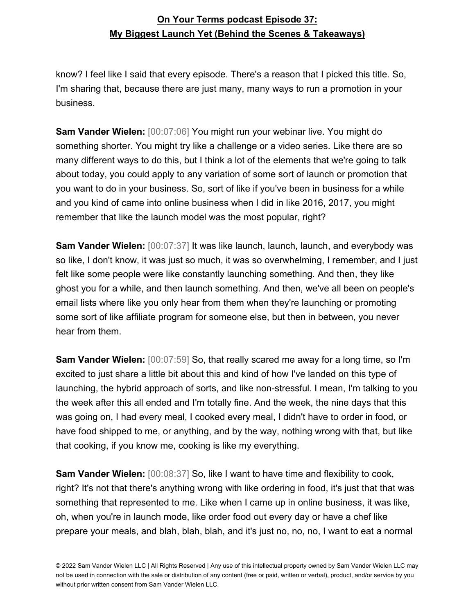know? I feel like I said that every episode. There's a reason that I picked this title. So, I'm sharing that, because there are just many, many ways to run a promotion in your business.

**Sam Vander Wielen:** [00:07:06] You might run your webinar live. You might do something shorter. You might try like a challenge or a video series. Like there are so many different ways to do this, but I think a lot of the elements that we're going to talk about today, you could apply to any variation of some sort of launch or promotion that you want to do in your business. So, sort of like if you've been in business for a while and you kind of came into online business when I did in like 2016, 2017, you might remember that like the launch model was the most popular, right?

**Sam Vander Wielen:** [00:07:37] It was like launch, launch, launch, and everybody was so like, I don't know, it was just so much, it was so overwhelming, I remember, and I just felt like some people were like constantly launching something. And then, they like ghost you for a while, and then launch something. And then, we've all been on people's email lists where like you only hear from them when they're launching or promoting some sort of like affiliate program for someone else, but then in between, you never hear from them.

**Sam Vander Wielen:** [00:07:59] So, that really scared me away for a long time, so I'm excited to just share a little bit about this and kind of how I've landed on this type of launching, the hybrid approach of sorts, and like non-stressful. I mean, I'm talking to you the week after this all ended and I'm totally fine. And the week, the nine days that this was going on, I had every meal, I cooked every meal, I didn't have to order in food, or have food shipped to me, or anything, and by the way, nothing wrong with that, but like that cooking, if you know me, cooking is like my everything.

**Sam Vander Wielen:** [00:08:37] So, like I want to have time and flexibility to cook, right? It's not that there's anything wrong with like ordering in food, it's just that that was something that represented to me. Like when I came up in online business, it was like, oh, when you're in launch mode, like order food out every day or have a chef like prepare your meals, and blah, blah, blah, and it's just no, no, no, I want to eat a normal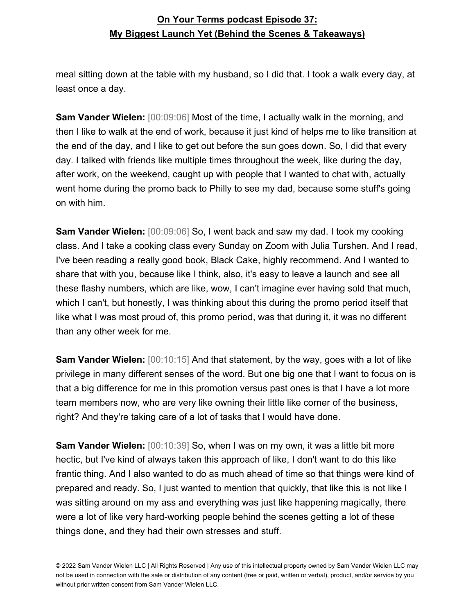meal sitting down at the table with my husband, so I did that. I took a walk every day, at least once a day.

**Sam Vander Wielen:** [00:09:06] Most of the time, I actually walk in the morning, and then I like to walk at the end of work, because it just kind of helps me to like transition at the end of the day, and I like to get out before the sun goes down. So, I did that every day. I talked with friends like multiple times throughout the week, like during the day, after work, on the weekend, caught up with people that I wanted to chat with, actually went home during the promo back to Philly to see my dad, because some stuff's going on with him.

**Sam Vander Wielen:** [00:09:06] So, I went back and saw my dad. I took my cooking class. And I take a cooking class every Sunday on Zoom with Julia Turshen. And I read, I've been reading a really good book, Black Cake, highly recommend. And I wanted to share that with you, because like I think, also, it's easy to leave a launch and see all these flashy numbers, which are like, wow, I can't imagine ever having sold that much, which I can't, but honestly, I was thinking about this during the promo period itself that like what I was most proud of, this promo period, was that during it, it was no different than any other week for me.

**Sam Vander Wielen:** [00:10:15] And that statement, by the way, goes with a lot of like privilege in many different senses of the word. But one big one that I want to focus on is that a big difference for me in this promotion versus past ones is that I have a lot more team members now, who are very like owning their little like corner of the business, right? And they're taking care of a lot of tasks that I would have done.

**Sam Vander Wielen:** [00:10:39] So, when I was on my own, it was a little bit more hectic, but I've kind of always taken this approach of like, I don't want to do this like frantic thing. And I also wanted to do as much ahead of time so that things were kind of prepared and ready. So, I just wanted to mention that quickly, that like this is not like I was sitting around on my ass and everything was just like happening magically, there were a lot of like very hard-working people behind the scenes getting a lot of these things done, and they had their own stresses and stuff.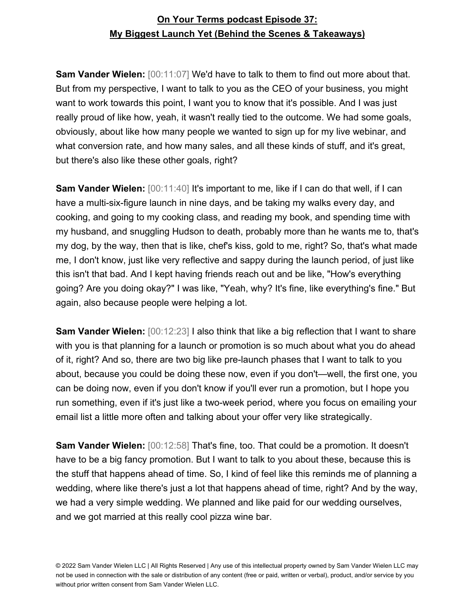**Sam Vander Wielen:**  $[00:11:07]$  We'd have to talk to them to find out more about that. But from my perspective, I want to talk to you as the CEO of your business, you might want to work towards this point, I want you to know that it's possible. And I was just really proud of like how, yeah, it wasn't really tied to the outcome. We had some goals, obviously, about like how many people we wanted to sign up for my live webinar, and what conversion rate, and how many sales, and all these kinds of stuff, and it's great, but there's also like these other goals, right?

**Sam Vander Wielen:**  $[00:11:40]$  It's important to me, like if I can do that well, if I can have a multi-six-figure launch in nine days, and be taking my walks every day, and cooking, and going to my cooking class, and reading my book, and spending time with my husband, and snuggling Hudson to death, probably more than he wants me to, that's my dog, by the way, then that is like, chef's kiss, gold to me, right? So, that's what made me, I don't know, just like very reflective and sappy during the launch period, of just like this isn't that bad. And I kept having friends reach out and be like, "How's everything going? Are you doing okay?" I was like, "Yeah, why? It's fine, like everything's fine." But again, also because people were helping a lot.

**Sam Vander Wielen:** [00:12:23] I also think that like a big reflection that I want to share with you is that planning for a launch or promotion is so much about what you do ahead of it, right? And so, there are two big like pre-launch phases that I want to talk to you about, because you could be doing these now, even if you don't—well, the first one, you can be doing now, even if you don't know if you'll ever run a promotion, but I hope you run something, even if it's just like a two-week period, where you focus on emailing your email list a little more often and talking about your offer very like strategically.

**Sam Vander Wielen:** [00:12:58] That's fine, too. That could be a promotion. It doesn't have to be a big fancy promotion. But I want to talk to you about these, because this is the stuff that happens ahead of time. So, I kind of feel like this reminds me of planning a wedding, where like there's just a lot that happens ahead of time, right? And by the way, we had a very simple wedding. We planned and like paid for our wedding ourselves, and we got married at this really cool pizza wine bar.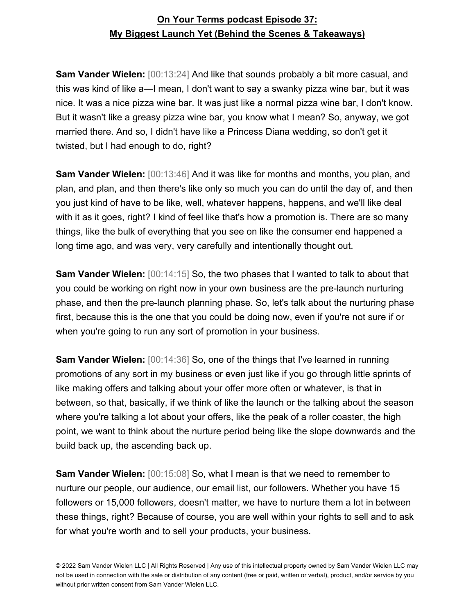**Sam Vander Wielen:** [00:13:24] And like that sounds probably a bit more casual, and this was kind of like a—I mean, I don't want to say a swanky pizza wine bar, but it was nice. It was a nice pizza wine bar. It was just like a normal pizza wine bar, I don't know. But it wasn't like a greasy pizza wine bar, you know what I mean? So, anyway, we got married there. And so, I didn't have like a Princess Diana wedding, so don't get it twisted, but I had enough to do, right?

**Sam Vander Wielen:** [00:13:46] And it was like for months and months, you plan, and plan, and plan, and then there's like only so much you can do until the day of, and then you just kind of have to be like, well, whatever happens, happens, and we'll like deal with it as it goes, right? I kind of feel like that's how a promotion is. There are so many things, like the bulk of everything that you see on like the consumer end happened a long time ago, and was very, very carefully and intentionally thought out.

**Sam Vander Wielen:**  $[00:14:15]$  So, the two phases that I wanted to talk to about that you could be working on right now in your own business are the pre-launch nurturing phase, and then the pre-launch planning phase. So, let's talk about the nurturing phase first, because this is the one that you could be doing now, even if you're not sure if or when you're going to run any sort of promotion in your business.

**Sam Vander Wielen:** [00:14:36] So, one of the things that I've learned in running promotions of any sort in my business or even just like if you go through little sprints of like making offers and talking about your offer more often or whatever, is that in between, so that, basically, if we think of like the launch or the talking about the season where you're talking a lot about your offers, like the peak of a roller coaster, the high point, we want to think about the nurture period being like the slope downwards and the build back up, the ascending back up.

**Sam Vander Wielen:** [00:15:08] So, what I mean is that we need to remember to nurture our people, our audience, our email list, our followers. Whether you have 15 followers or 15,000 followers, doesn't matter, we have to nurture them a lot in between these things, right? Because of course, you are well within your rights to sell and to ask for what you're worth and to sell your products, your business.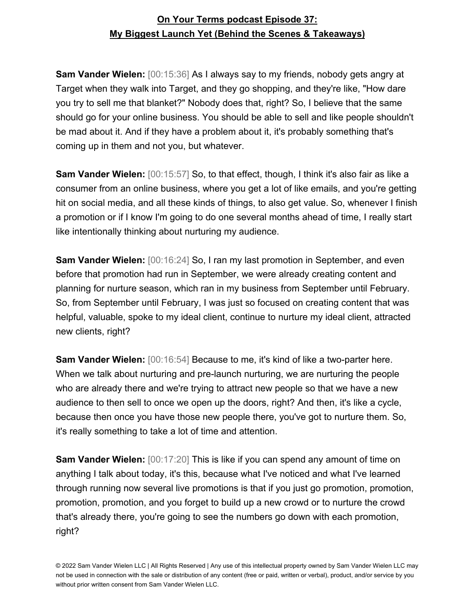**Sam Vander Wielen:** [00:15:36] As I always say to my friends, nobody gets angry at Target when they walk into Target, and they go shopping, and they're like, "How dare you try to sell me that blanket?" Nobody does that, right? So, I believe that the same should go for your online business. You should be able to sell and like people shouldn't be mad about it. And if they have a problem about it, it's probably something that's coming up in them and not you, but whatever.

**Sam Vander Wielen:** [00:15:57] So, to that effect, though, I think it's also fair as like a consumer from an online business, where you get a lot of like emails, and you're getting hit on social media, and all these kinds of things, to also get value. So, whenever I finish a promotion or if I know I'm going to do one several months ahead of time, I really start like intentionally thinking about nurturing my audience.

**Sam Vander Wielen:** [00:16:24] So, I ran my last promotion in September, and even before that promotion had run in September, we were already creating content and planning for nurture season, which ran in my business from September until February. So, from September until February, I was just so focused on creating content that was helpful, valuable, spoke to my ideal client, continue to nurture my ideal client, attracted new clients, right?

**Sam Vander Wielen:** [00:16:54] Because to me, it's kind of like a two-parter here. When we talk about nurturing and pre-launch nurturing, we are nurturing the people who are already there and we're trying to attract new people so that we have a new audience to then sell to once we open up the doors, right? And then, it's like a cycle, because then once you have those new people there, you've got to nurture them. So, it's really something to take a lot of time and attention.

**Sam Vander Wielen:** [00:17:20] This is like if you can spend any amount of time on anything I talk about today, it's this, because what I've noticed and what I've learned through running now several live promotions is that if you just go promotion, promotion, promotion, promotion, and you forget to build up a new crowd or to nurture the crowd that's already there, you're going to see the numbers go down with each promotion, right?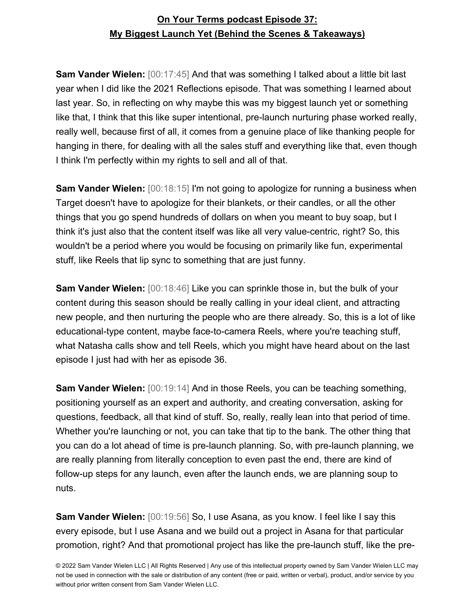**Sam Vander Wielen:** [00:17:45] And that was something I talked about a little bit last year when I did like the 2021 Reflections episode. That was something I learned about last year. So, in reflecting on why maybe this was my biggest launch yet or something like that, I think that this like super intentional, pre-launch nurturing phase worked really, really well, because first of all, it comes from a genuine place of like thanking people for hanging in there, for dealing with all the sales stuff and everything like that, even though I think I'm perfectly within my rights to sell and all of that.

**Sam Vander Wielen:** [00:18:15] I'm not going to apologize for running a business when Target doesn't have to apologize for their blankets, or their candles, or all the other things that you go spend hundreds of dollars on when you meant to buy soap, but I think it's just also that the content itself was like all very value-centric, right? So, this wouldn't be a period where you would be focusing on primarily like fun, experimental stuff, like Reels that lip sync to something that are just funny.

**Sam Vander Wielen:** [00:18:46] Like you can sprinkle those in, but the bulk of your content during this season should be really calling in your ideal client, and attracting new people, and then nurturing the people who are there already. So, this is a lot of like educational-type content, maybe face-to-camera Reels, where you're teaching stuff, what Natasha calls show and tell Reels, which you might have heard about on the last episode I just had with her as episode 36.

**Sam Vander Wielen:** [00:19:14] And in those Reels, you can be teaching something, positioning yourself as an expert and authority, and creating conversation, asking for questions, feedback, all that kind of stuff. So, really, really lean into that period of time. Whether you're launching or not, you can take that tip to the bank. The other thing that you can do a lot ahead of time is pre-launch planning. So, with pre-launch planning, we are really planning from literally conception to even past the end, there are kind of follow-up steps for any launch, even after the launch ends, we are planning soup to nuts.

**Sam Vander Wielen:** [00:19:56] So, I use Asana, as you know. I feel like I say this every episode, but I use Asana and we build out a project in Asana for that particular promotion, right? And that promotional project has like the pre-launch stuff, like the pre-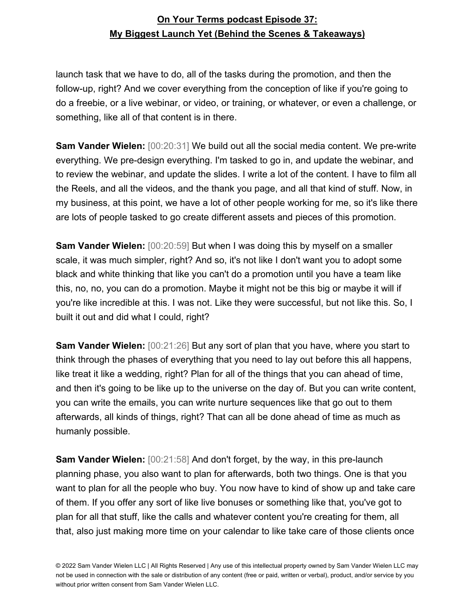launch task that we have to do, all of the tasks during the promotion, and then the follow-up, right? And we cover everything from the conception of like if you're going to do a freebie, or a live webinar, or video, or training, or whatever, or even a challenge, or something, like all of that content is in there.

**Sam Vander Wielen:** [00:20:31] We build out all the social media content. We pre-write everything. We pre-design everything. I'm tasked to go in, and update the webinar, and to review the webinar, and update the slides. I write a lot of the content. I have to film all the Reels, and all the videos, and the thank you page, and all that kind of stuff. Now, in my business, at this point, we have a lot of other people working for me, so it's like there are lots of people tasked to go create different assets and pieces of this promotion.

**Sam Vander Wielen:** [00:20:59] But when I was doing this by myself on a smaller scale, it was much simpler, right? And so, it's not like I don't want you to adopt some black and white thinking that like you can't do a promotion until you have a team like this, no, no, you can do a promotion. Maybe it might not be this big or maybe it will if you're like incredible at this. I was not. Like they were successful, but not like this. So, I built it out and did what I could, right?

**Sam Vander Wielen:** [00:21:26] But any sort of plan that you have, where you start to think through the phases of everything that you need to lay out before this all happens, like treat it like a wedding, right? Plan for all of the things that you can ahead of time, and then it's going to be like up to the universe on the day of. But you can write content, you can write the emails, you can write nurture sequences like that go out to them afterwards, all kinds of things, right? That can all be done ahead of time as much as humanly possible.

**Sam Vander Wielen:** [00:21:58] And don't forget, by the way, in this pre-launch planning phase, you also want to plan for afterwards, both two things. One is that you want to plan for all the people who buy. You now have to kind of show up and take care of them. If you offer any sort of like live bonuses or something like that, you've got to plan for all that stuff, like the calls and whatever content you're creating for them, all that, also just making more time on your calendar to like take care of those clients once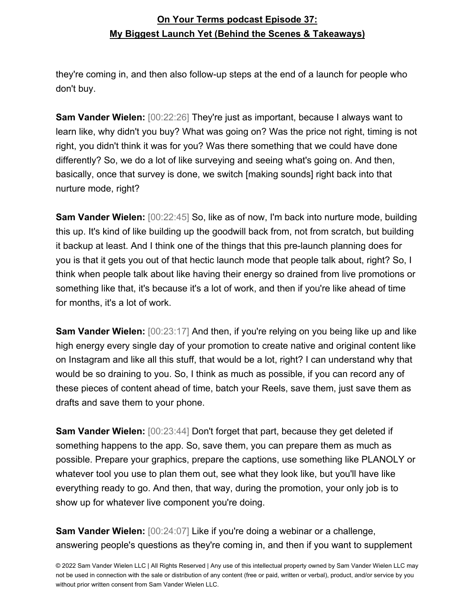they're coming in, and then also follow-up steps at the end of a launch for people who don't buy.

**Sam Vander Wielen:** [00:22:26] They're just as important, because I always want to learn like, why didn't you buy? What was going on? Was the price not right, timing is not right, you didn't think it was for you? Was there something that we could have done differently? So, we do a lot of like surveying and seeing what's going on. And then, basically, once that survey is done, we switch [making sounds] right back into that nurture mode, right?

**Sam Vander Wielen:** [00:22:45] So, like as of now, I'm back into nurture mode, building this up. It's kind of like building up the goodwill back from, not from scratch, but building it backup at least. And I think one of the things that this pre-launch planning does for you is that it gets you out of that hectic launch mode that people talk about, right? So, I think when people talk about like having their energy so drained from live promotions or something like that, it's because it's a lot of work, and then if you're like ahead of time for months, it's a lot of work.

**Sam Vander Wielen:** [00:23:17] And then, if you're relying on you being like up and like high energy every single day of your promotion to create native and original content like on Instagram and like all this stuff, that would be a lot, right? I can understand why that would be so draining to you. So, I think as much as possible, if you can record any of these pieces of content ahead of time, batch your Reels, save them, just save them as drafts and save them to your phone.

**Sam Vander Wielen:** [00:23:44] Don't forget that part, because they get deleted if something happens to the app. So, save them, you can prepare them as much as possible. Prepare your graphics, prepare the captions, use something like PLANOLY or whatever tool you use to plan them out, see what they look like, but you'll have like everything ready to go. And then, that way, during the promotion, your only job is to show up for whatever live component you're doing.

**Sam Vander Wielen:** [00:24:07] Like if you're doing a webinar or a challenge, answering people's questions as they're coming in, and then if you want to supplement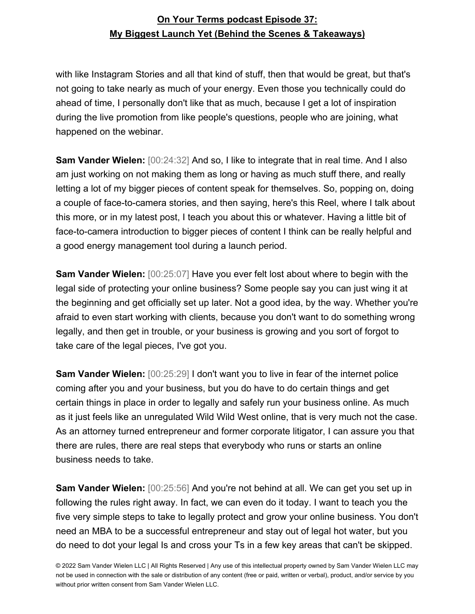with like Instagram Stories and all that kind of stuff, then that would be great, but that's not going to take nearly as much of your energy. Even those you technically could do ahead of time, I personally don't like that as much, because I get a lot of inspiration during the live promotion from like people's questions, people who are joining, what happened on the webinar.

**Sam Vander Wielen:** [00:24:32] And so, I like to integrate that in real time. And I also am just working on not making them as long or having as much stuff there, and really letting a lot of my bigger pieces of content speak for themselves. So, popping on, doing a couple of face-to-camera stories, and then saying, here's this Reel, where I talk about this more, or in my latest post, I teach you about this or whatever. Having a little bit of face-to-camera introduction to bigger pieces of content I think can be really helpful and a good energy management tool during a launch period.

**Sam Vander Wielen:** [00:25:07] Have you ever felt lost about where to begin with the legal side of protecting your online business? Some people say you can just wing it at the beginning and get officially set up later. Not a good idea, by the way. Whether you're afraid to even start working with clients, because you don't want to do something wrong legally, and then get in trouble, or your business is growing and you sort of forgot to take care of the legal pieces, I've got you.

**Sam Vander Wielen:** [00:25:29] I don't want you to live in fear of the internet police coming after you and your business, but you do have to do certain things and get certain things in place in order to legally and safely run your business online. As much as it just feels like an unregulated Wild Wild West online, that is very much not the case. As an attorney turned entrepreneur and former corporate litigator, I can assure you that there are rules, there are real steps that everybody who runs or starts an online business needs to take.

**Sam Vander Wielen:** [00:25:56] And you're not behind at all. We can get you set up in following the rules right away. In fact, we can even do it today. I want to teach you the five very simple steps to take to legally protect and grow your online business. You don't need an MBA to be a successful entrepreneur and stay out of legal hot water, but you do need to dot your legal Is and cross your Ts in a few key areas that can't be skipped.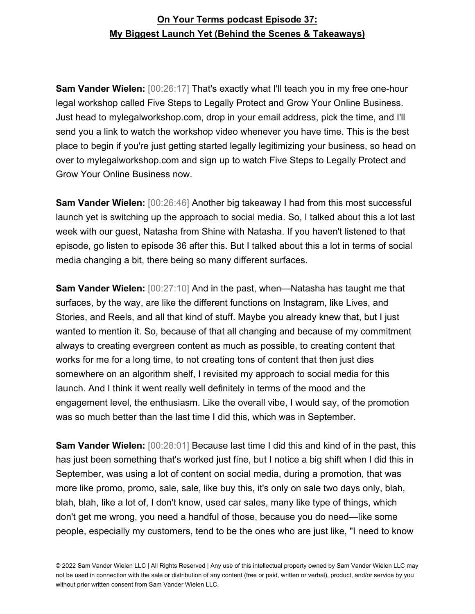**Sam Vander Wielen:** [00:26:17] That's exactly what I'll teach you in my free one-hour legal workshop called Five Steps to Legally Protect and Grow Your Online Business. Just head to mylegalworkshop.com, drop in your email address, pick the time, and I'll send you a link to watch the workshop video whenever you have time. This is the best place to begin if you're just getting started legally legitimizing your business, so head on over to mylegalworkshop.com and sign up to watch Five Steps to Legally Protect and Grow Your Online Business now.

**Sam Vander Wielen:** [00:26:46] Another big takeaway I had from this most successful launch yet is switching up the approach to social media. So, I talked about this a lot last week with our guest, Natasha from Shine with Natasha. If you haven't listened to that episode, go listen to episode 36 after this. But I talked about this a lot in terms of social media changing a bit, there being so many different surfaces.

**Sam Vander Wielen:** [00:27:10] And in the past, when—Natasha has taught me that surfaces, by the way, are like the different functions on Instagram, like Lives, and Stories, and Reels, and all that kind of stuff. Maybe you already knew that, but I just wanted to mention it. So, because of that all changing and because of my commitment always to creating evergreen content as much as possible, to creating content that works for me for a long time, to not creating tons of content that then just dies somewhere on an algorithm shelf, I revisited my approach to social media for this launch. And I think it went really well definitely in terms of the mood and the engagement level, the enthusiasm. Like the overall vibe, I would say, of the promotion was so much better than the last time I did this, which was in September.

**Sam Vander Wielen:** [00:28:01] Because last time I did this and kind of in the past, this has just been something that's worked just fine, but I notice a big shift when I did this in September, was using a lot of content on social media, during a promotion, that was more like promo, promo, sale, sale, like buy this, it's only on sale two days only, blah, blah, blah, like a lot of, I don't know, used car sales, many like type of things, which don't get me wrong, you need a handful of those, because you do need—like some people, especially my customers, tend to be the ones who are just like, "I need to know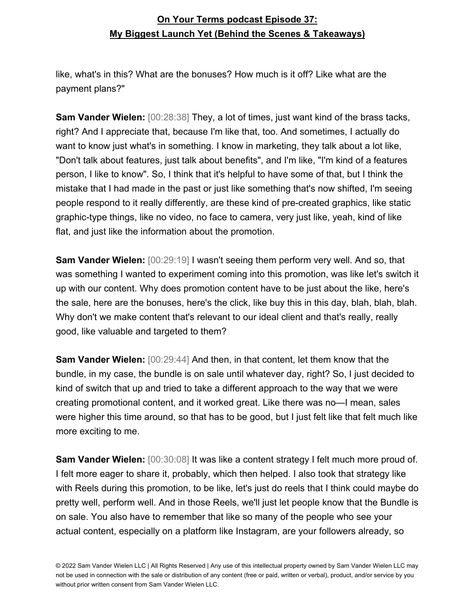like, what's in this? What are the bonuses? How much is it off? Like what are the payment plans?"

**Sam Vander Wielen:** [00:28:38] They, a lot of times, just want kind of the brass tacks, right? And I appreciate that, because I'm like that, too. And sometimes, I actually do want to know just what's in something. I know in marketing, they talk about a lot like, "Don't talk about features, just talk about benefits", and I'm like, "I'm kind of a features person, I like to know". So, I think that it's helpful to have some of that, but I think the mistake that I had made in the past or just like something that's now shifted, I'm seeing people respond to it really differently, are these kind of pre-created graphics, like static graphic-type things, like no video, no face to camera, very just like, yeah, kind of like flat, and just like the information about the promotion.

**Sam Vander Wielen:** [00:29:19] I wasn't seeing them perform very well. And so, that was something I wanted to experiment coming into this promotion, was like let's switch it up with our content. Why does promotion content have to be just about the like, here's the sale, here are the bonuses, here's the click, like buy this in this day, blah, blah, blah. Why don't we make content that's relevant to our ideal client and that's really, really good, like valuable and targeted to them?

**Sam Vander Wielen:** [00:29:44] And then, in that content, let them know that the bundle, in my case, the bundle is on sale until whatever day, right? So, I just decided to kind of switch that up and tried to take a different approach to the way that we were creating promotional content, and it worked great. Like there was no—I mean, sales were higher this time around, so that has to be good, but I just felt like that felt much like more exciting to me.

**Sam Vander Wielen:** [00:30:08] It was like a content strategy I felt much more proud of. I felt more eager to share it, probably, which then helped. I also took that strategy like with Reels during this promotion, to be like, let's just do reels that I think could maybe do pretty well, perform well. And in those Reels, we'll just let people know that the Bundle is on sale. You also have to remember that like so many of the people who see your actual content, especially on a platform like Instagram, are your followers already, so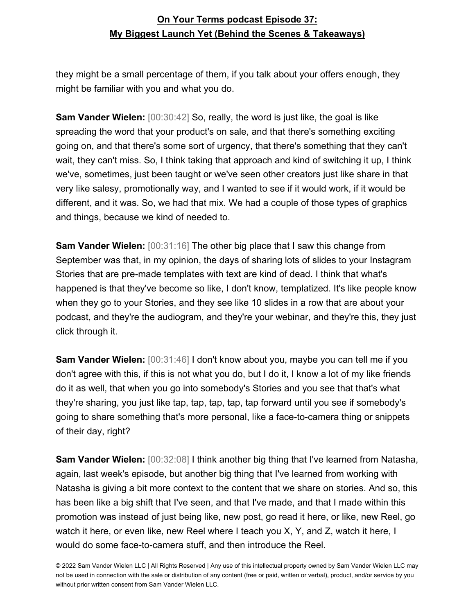they might be a small percentage of them, if you talk about your offers enough, they might be familiar with you and what you do.

**Sam Vander Wielen:** [00:30:42] So, really, the word is just like, the goal is like spreading the word that your product's on sale, and that there's something exciting going on, and that there's some sort of urgency, that there's something that they can't wait, they can't miss. So, I think taking that approach and kind of switching it up, I think we've, sometimes, just been taught or we've seen other creators just like share in that very like salesy, promotionally way, and I wanted to see if it would work, if it would be different, and it was. So, we had that mix. We had a couple of those types of graphics and things, because we kind of needed to.

**Sam Vander Wielen:** [00:31:16] The other big place that I saw this change from September was that, in my opinion, the days of sharing lots of slides to your Instagram Stories that are pre-made templates with text are kind of dead. I think that what's happened is that they've become so like, I don't know, templatized. It's like people know when they go to your Stories, and they see like 10 slides in a row that are about your podcast, and they're the audiogram, and they're your webinar, and they're this, they just click through it.

**Sam Vander Wielen:** [00:31:46] I don't know about you, maybe you can tell me if you don't agree with this, if this is not what you do, but I do it, I know a lot of my like friends do it as well, that when you go into somebody's Stories and you see that that's what they're sharing, you just like tap, tap, tap, tap, tap forward until you see if somebody's going to share something that's more personal, like a face-to-camera thing or snippets of their day, right?

**Sam Vander Wielen:** [00:32:08] I think another big thing that I've learned from Natasha, again, last week's episode, but another big thing that I've learned from working with Natasha is giving a bit more context to the content that we share on stories. And so, this has been like a big shift that I've seen, and that I've made, and that I made within this promotion was instead of just being like, new post, go read it here, or like, new Reel, go watch it here, or even like, new Reel where I teach you X, Y, and Z, watch it here, I would do some face-to-camera stuff, and then introduce the Reel.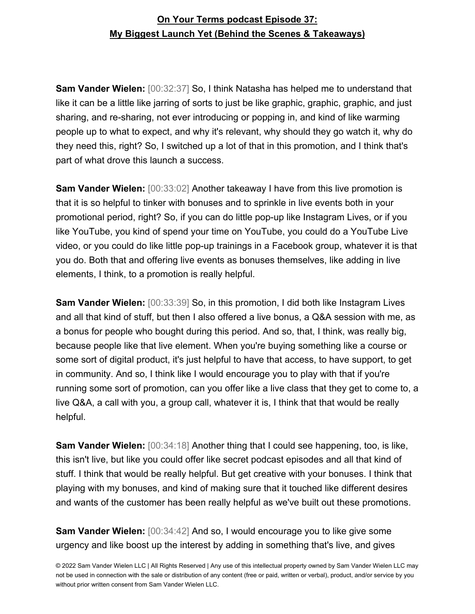**Sam Vander Wielen:** [00:32:37] So, I think Natasha has helped me to understand that like it can be a little like jarring of sorts to just be like graphic, graphic, graphic, and just sharing, and re-sharing, not ever introducing or popping in, and kind of like warming people up to what to expect, and why it's relevant, why should they go watch it, why do they need this, right? So, I switched up a lot of that in this promotion, and I think that's part of what drove this launch a success.

**Sam Vander Wielen:** [00:33:02] Another takeaway I have from this live promotion is that it is so helpful to tinker with bonuses and to sprinkle in live events both in your promotional period, right? So, if you can do little pop-up like Instagram Lives, or if you like YouTube, you kind of spend your time on YouTube, you could do a YouTube Live video, or you could do like little pop-up trainings in a Facebook group, whatever it is that you do. Both that and offering live events as bonuses themselves, like adding in live elements, I think, to a promotion is really helpful.

**Sam Vander Wielen:** [00:33:39] So, in this promotion, I did both like Instagram Lives and all that kind of stuff, but then I also offered a live bonus, a Q&A session with me, as a bonus for people who bought during this period. And so, that, I think, was really big, because people like that live element. When you're buying something like a course or some sort of digital product, it's just helpful to have that access, to have support, to get in community. And so, I think like I would encourage you to play with that if you're running some sort of promotion, can you offer like a live class that they get to come to, a live Q&A, a call with you, a group call, whatever it is, I think that that would be really helpful.

**Sam Vander Wielen:** [00:34:18] Another thing that I could see happening, too, is like, this isn't live, but like you could offer like secret podcast episodes and all that kind of stuff. I think that would be really helpful. But get creative with your bonuses. I think that playing with my bonuses, and kind of making sure that it touched like different desires and wants of the customer has been really helpful as we've built out these promotions.

**Sam Vander Wielen:** [00:34:42] And so, I would encourage you to like give some urgency and like boost up the interest by adding in something that's live, and gives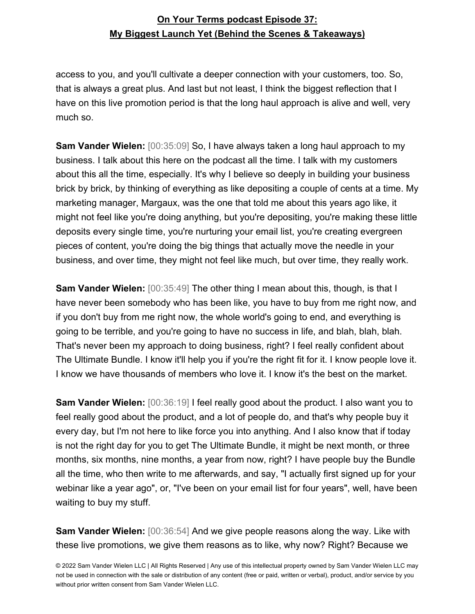access to you, and you'll cultivate a deeper connection with your customers, too. So, that is always a great plus. And last but not least, I think the biggest reflection that I have on this live promotion period is that the long haul approach is alive and well, very much so.

**Sam Vander Wielen:** [00:35:09] So, I have always taken a long haul approach to my business. I talk about this here on the podcast all the time. I talk with my customers about this all the time, especially. It's why I believe so deeply in building your business brick by brick, by thinking of everything as like depositing a couple of cents at a time. My marketing manager, Margaux, was the one that told me about this years ago like, it might not feel like you're doing anything, but you're depositing, you're making these little deposits every single time, you're nurturing your email list, you're creating evergreen pieces of content, you're doing the big things that actually move the needle in your business, and over time, they might not feel like much, but over time, they really work.

**Sam Vander Wielen:** [00:35:49] The other thing I mean about this, though, is that I have never been somebody who has been like, you have to buy from me right now, and if you don't buy from me right now, the whole world's going to end, and everything is going to be terrible, and you're going to have no success in life, and blah, blah, blah. That's never been my approach to doing business, right? I feel really confident about The Ultimate Bundle. I know it'll help you if you're the right fit for it. I know people love it. I know we have thousands of members who love it. I know it's the best on the market.

**Sam Vander Wielen:** [00:36:19] I feel really good about the product. I also want you to feel really good about the product, and a lot of people do, and that's why people buy it every day, but I'm not here to like force you into anything. And I also know that if today is not the right day for you to get The Ultimate Bundle, it might be next month, or three months, six months, nine months, a year from now, right? I have people buy the Bundle all the time, who then write to me afterwards, and say, "I actually first signed up for your webinar like a year ago", or, "I've been on your email list for four years", well, have been waiting to buy my stuff.

**Sam Vander Wielen:** [00:36:54] And we give people reasons along the way. Like with these live promotions, we give them reasons as to like, why now? Right? Because we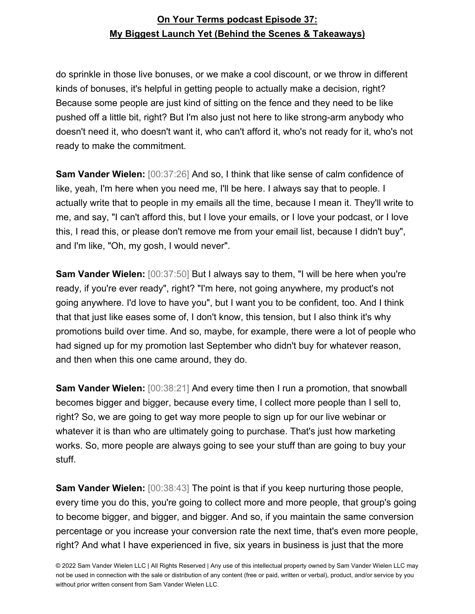do sprinkle in those live bonuses, or we make a cool discount, or we throw in different kinds of bonuses, it's helpful in getting people to actually make a decision, right? Because some people are just kind of sitting on the fence and they need to be like pushed off a little bit, right? But I'm also just not here to like strong-arm anybody who doesn't need it, who doesn't want it, who can't afford it, who's not ready for it, who's not ready to make the commitment.

**Sam Vander Wielen:** [00:37:26] And so, I think that like sense of calm confidence of like, yeah, I'm here when you need me, I'll be here. I always say that to people. I actually write that to people in my emails all the time, because I mean it. They'll write to me, and say, "I can't afford this, but I love your emails, or I love your podcast, or I love this, I read this, or please don't remove me from your email list, because I didn't buy", and I'm like, "Oh, my gosh, I would never".

**Sam Vander Wielen:** [00:37:50] But I always say to them, "I will be here when you're ready, if you're ever ready", right? "I'm here, not going anywhere, my product's not going anywhere. I'd love to have you", but I want you to be confident, too. And I think that that just like eases some of, I don't know, this tension, but I also think it's why promotions build over time. And so, maybe, for example, there were a lot of people who had signed up for my promotion last September who didn't buy for whatever reason, and then when this one came around, they do.

**Sam Vander Wielen:** [00:38:21] And every time then I run a promotion, that snowball becomes bigger and bigger, because every time, I collect more people than I sell to, right? So, we are going to get way more people to sign up for our live webinar or whatever it is than who are ultimately going to purchase. That's just how marketing works. So, more people are always going to see your stuff than are going to buy your stuff.

**Sam Vander Wielen:** [00:38:43] The point is that if you keep nurturing those people, every time you do this, you're going to collect more and more people, that group's going to become bigger, and bigger, and bigger. And so, if you maintain the same conversion percentage or you increase your conversion rate the next time, that's even more people, right? And what I have experienced in five, six years in business is just that the more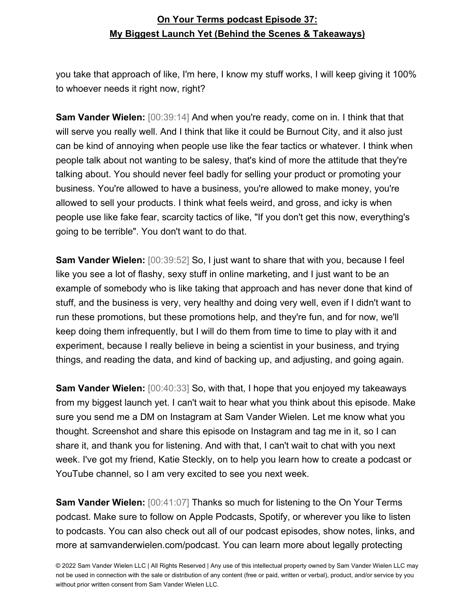you take that approach of like, I'm here, I know my stuff works, I will keep giving it 100% to whoever needs it right now, right?

**Sam Vander Wielen:** [00:39:14] And when you're ready, come on in. I think that that will serve you really well. And I think that like it could be Burnout City, and it also just can be kind of annoying when people use like the fear tactics or whatever. I think when people talk about not wanting to be salesy, that's kind of more the attitude that they're talking about. You should never feel badly for selling your product or promoting your business. You're allowed to have a business, you're allowed to make money, you're allowed to sell your products. I think what feels weird, and gross, and icky is when people use like fake fear, scarcity tactics of like, "If you don't get this now, everything's going to be terrible". You don't want to do that.

**Sam Vander Wielen:** [00:39:52] So, I just want to share that with you, because I feel like you see a lot of flashy, sexy stuff in online marketing, and I just want to be an example of somebody who is like taking that approach and has never done that kind of stuff, and the business is very, very healthy and doing very well, even if I didn't want to run these promotions, but these promotions help, and they're fun, and for now, we'll keep doing them infrequently, but I will do them from time to time to play with it and experiment, because I really believe in being a scientist in your business, and trying things, and reading the data, and kind of backing up, and adjusting, and going again.

**Sam Vander Wielen:** [00:40:33] So, with that, I hope that you enjoyed my takeaways from my biggest launch yet. I can't wait to hear what you think about this episode. Make sure you send me a DM on Instagram at Sam Vander Wielen. Let me know what you thought. Screenshot and share this episode on Instagram and tag me in it, so I can share it, and thank you for listening. And with that, I can't wait to chat with you next week. I've got my friend, Katie Steckly, on to help you learn how to create a podcast or YouTube channel, so I am very excited to see you next week.

**Sam Vander Wielen:** [00:41:07] Thanks so much for listening to the On Your Terms podcast. Make sure to follow on Apple Podcasts, Spotify, or wherever you like to listen to podcasts. You can also check out all of our podcast episodes, show notes, links, and more at samvanderwielen.com/podcast. You can learn more about legally protecting